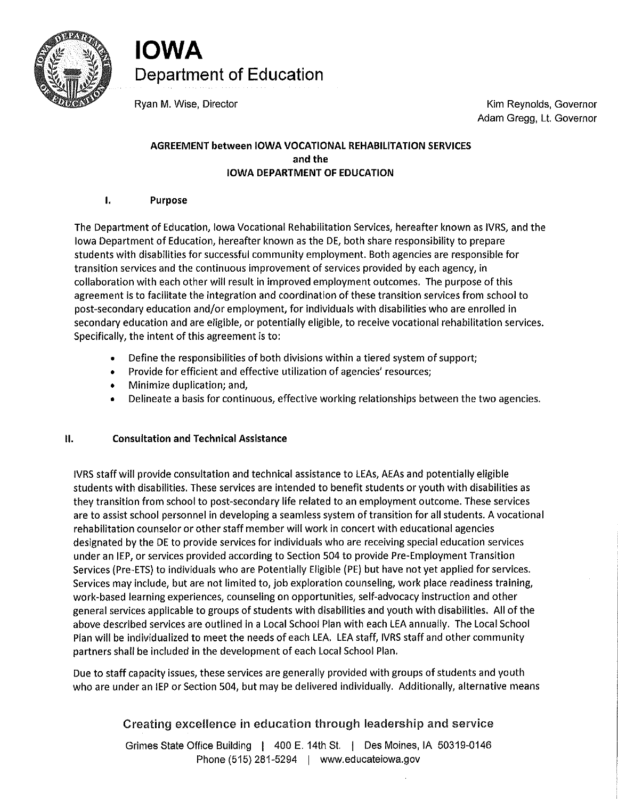

**IOWA Department of Education** 

Ryan M. Wise, Director **Kim Reynolds, Governor** Kim Reynolds, Governor Adam Gregg, Lt. Governor

# **AGREEMENT between IOWA VOCATIONAL REHABILITATION SERVICES and the IOWA DEPARTMENT OF EDUCATION**

# I. **Purpose**

The Department of Education, Iowa Vocational Rehabilitation Services, hereafter known as IVRS, and the Iowa Department of Education, hereafter known as the DE, both share responsibility to prepare students with disabilities for successful community employment. Both agencies are responsible for transition services and the continuous improvement of services provided by each agency, in collaboration with each other will result in improved employment outcomes. The purpose of this agreement is to facilitate the integration and coordination of these transition services from school to post-secondary education and/or employment, for individuals with disabilities who are enrolled in secondary education and are eligible, or potentially eligible, to receive vocational rehabilitation services. Specifically, the intent of this agreement is to:

- Define the responsibilities of both divisions within a tiered system of support;
- Provide for efficient and effective utilization of agencies' resources;
- Minimize duplication; and,
- Delineate a basis for continuous, effective working relationships between the two agencies.

# II. **Consultation and Technical Assistance**

IVRS staff will provide consultation and technical assistance to LEAs, AEAs and potentially eligible students with disabilities. These services are intended to benefit students or youth with disabilities as they transition from school to post-secondary life related to an employment outcome. These services are to assist school personnel in developing a seamless system of transition for all students, A vocational rehabilitation counselor or other staff member will work in concert with educational agencies designated by the DE to provide services for individuals who are receiving special education services under an IEP, or services provided according to Section 504 to provide Pre-Employment Transition Services (Pre-ETS) to individuals who are Potentially Eligible {PE) but have not yet applied for services. Services may include, but are not limited to, job exploration counseling, work place readiness training, work-based learning experiences, counseling on opportunities, self-advocacy instruction and other general services applicable to groups of students with disabilities and youth with disabilities. All of the above described services are outlined in a Local School Plan with each LEA annually. The Local School Plan will be individualized to meet the needs of each LEA. LEA staff, IVRS staff and other community partners shall be included in the development of each Local School Plan.

Due to staff capacity issues, these services are generally provided with groups of students and youth who are under an IEP or Section 504, but may be delivered individually. Additionally, alternative means

# Creating excellence in education through leadership and service

Grimes State Office Building | 400 E. 14th St. | Des Moines, IA 50319-0146 Phone (515) 281-5294 | <www.educateiowa.gov>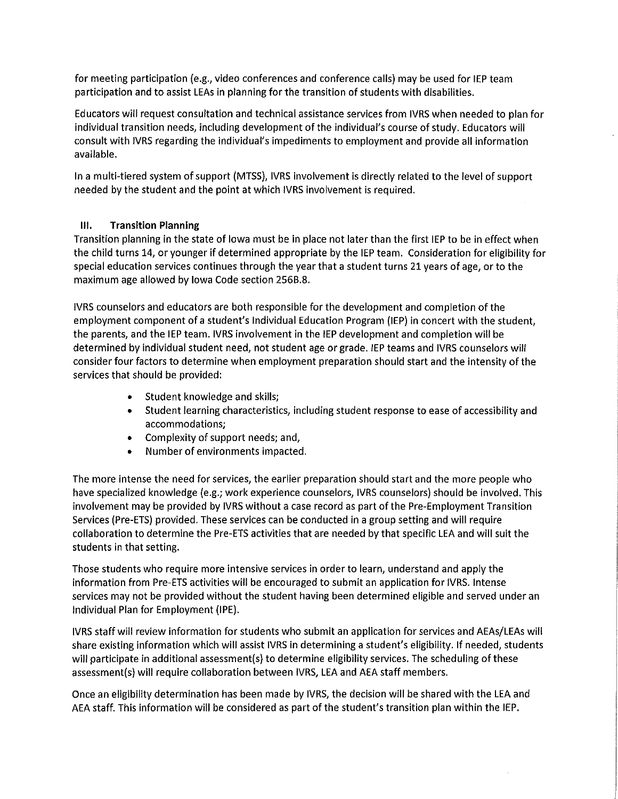for meeting participation (e.g., video conferences and conference calls) may be used for IEP team participation and to assist LEAs in planning for the transition of students with disabilities.

Educators will request consultation and technical assistance services from IVRS when needed to plan for individual transition needs, including development of the individual's course of study. Educators will consult with IVRS regarding the individual's impediments to employment and provide all information available.

In a multi-tiered system of support (MTSS), IVRS involvement is directly related to the level of support needed by the student and the point at which IVRS involvement is required.

# **Ill. Transition Planning**

Transition planning in the state of Iowa must be in place not later than the first IEP to be in effect when the child turns 14, or younger if determined appropriate by the IEP team. Consideration for eligibility for special education services continues through the year that a student turns 21 years of age, or to the maximum age allowed by Iowa Code section 256B.8.

IVRS counselors and educators are both responsible for the development and completion of the employment component of a student's Individual Education Program (IEP) in concert with the student, the parents, and the IEP team. IVRS involvement in the IEP development and completion will be determined by individual student need, not student age or grade. IEP teams and IVRS counselors will consider four factors to determine when employment preparation should start and the intensity of the services that should be provided:

- Student knowledge and skills;
- Student learning characteristics, including student response to ease of accessibility and accommodations;
- Complexity of support needs; and,
- Number of environments impacted.

The more intense the need for services, the earlier preparation should start and the more people who have specialized knowledge (e.g.; work experience counselors, IVRS counselors) should be involved. This involvement may be provided by IVRS without a case record as part of the Pre-Employment Transition Services (Pre-ETS) provided. These services can be conducted in a group setting and will require collaboration to determine the Pre-ETS activities that are needed by that specific LEA and will suit the students in that setting.

Those students who require more intensive services in order to learn, understand and apply the information from Pre-ETS activities will be encouraged to submit an application for IVRS. Intense services may not be provided without the student having been determined eligible and served under an Individual Plan for Employment {IPE).

IVRS staff will review information for students who submit an application for services and AEAs/LEAs will share existing information which will assist IVRS in determining a student's eligibility. If needed, students will participate in additional assessment(s) to determine eligibility services. The scheduling of these assessment(s) will require collaboration between IVRS, LEA and AEA staff members.

Once an eligibility determination has been made by IVRS, the decision will be shared with the LEA and AEA staff. This information will be considered as part of the student's transition plan within the IEP.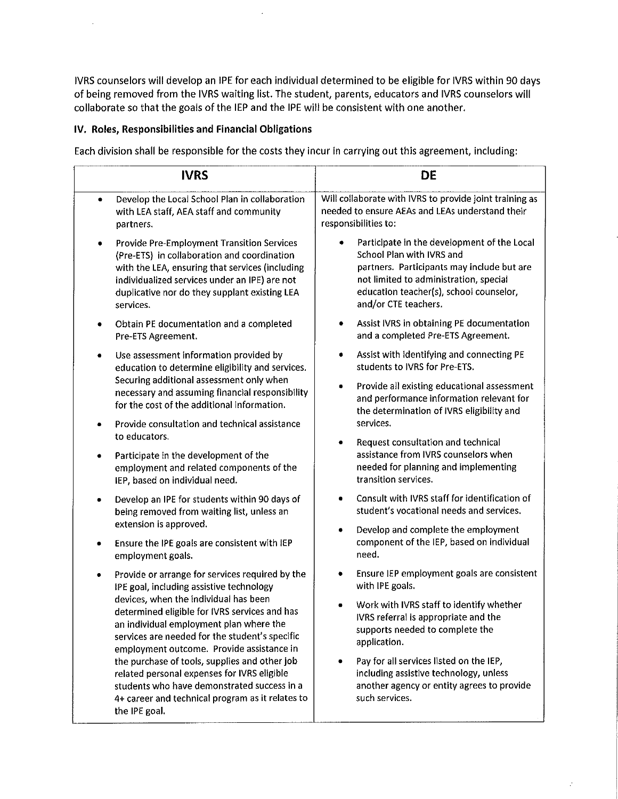IVRS counselors will develop an IPE for each individual determined to be eligible for IVRS within 90 days of being removed from the IVRS waiting list. The student, parents, educators and IVRS counselors will collaborate so that the goals of the IEP and the IPE will be consistent with one another.

## **IV. Roles, Responsibilities and Financial Obligations**

Each division shall be responsible for the costs they incur in carrying out this agreement, including:

| <b>IVRS</b>                                                                                                                                                                                                                                                      | DE                                                                                                                                                                                                                                  |
|------------------------------------------------------------------------------------------------------------------------------------------------------------------------------------------------------------------------------------------------------------------|-------------------------------------------------------------------------------------------------------------------------------------------------------------------------------------------------------------------------------------|
| Develop the Local School Plan in collaboration<br>٠<br>with LEA staff, AEA staff and community<br>partners.                                                                                                                                                      | Will collaborate with IVRS to provide joint training as<br>needed to ensure AEAs and LEAs understand their<br>responsibilities to:                                                                                                  |
| Provide Pre-Employment Transition Services<br>٠<br>(Pre-ETS) in collaboration and coordination<br>with the LEA, ensuring that services (including<br>individualized services under an IPE) are not<br>duplicative nor do they supplant existing LEA<br>services. | Participate in the development of the Local<br>School Plan with IVRS and<br>partners. Participants may include but are<br>not limited to administration, special<br>education teacher(s), school counselor,<br>and/or CTE teachers. |
| Obtain PE documentation and a completed<br>Pre-ETS Agreement.                                                                                                                                                                                                    | Assist IVRS in obtaining PE documentation<br>and a completed Pre-ETS Agreement.                                                                                                                                                     |
| Use assessment information provided by<br>٠<br>education to determine eligibility and services.                                                                                                                                                                  | Assist with identifying and connecting PE<br>students to IVRS for Pre-ETS.                                                                                                                                                          |
| Securing additional assessment only when<br>necessary and assuming financial responsibility<br>for the cost of the additional information.                                                                                                                       | Provide all existing educational assessment<br>۰<br>and performance information relevant for<br>the determination of IVRS eligibility and                                                                                           |
| Provide consultation and technical assistance<br>٠<br>to educators.                                                                                                                                                                                              | services.                                                                                                                                                                                                                           |
| Participate in the development of the<br>۰<br>employment and related components of the<br>IEP, based on individual need.                                                                                                                                         | Request consultation and technical<br>۰<br>assistance from IVRS counselors when<br>needed for planning and implementing<br>transition services.                                                                                     |
| Develop an IPE for students within 90 days of<br>٠<br>being removed from waiting list, unless an                                                                                                                                                                 | Consult with IVRS staff for identification of<br>$\bullet$<br>student's vocational needs and services.                                                                                                                              |
| extension is approved.<br>Ensure the IPE goals are consistent with IEP<br>employment goals.                                                                                                                                                                      | Develop and complete the employment<br>۰<br>component of the IEP, based on individual<br>need.                                                                                                                                      |
| Provide or arrange for services required by the<br>IPE goal, including assistive technology                                                                                                                                                                      | Ensure IEP employment goals are consistent<br>with IPE goals.                                                                                                                                                                       |
| devices, when the individual has been<br>determined eligible for IVRS services and has<br>an individual employment plan where the<br>services are needed for the student's specific<br>employment outcome. Provide assistance in                                 | Work with IVRS staff to identify whether<br>IVRS referral is appropriate and the<br>supports needed to complete the<br>application.                                                                                                 |
| the purchase of tools, supplies and other job<br>related personal expenses for IVRS eligible<br>students who have demonstrated success in a<br>4+ career and technical program as it relates to<br>the IPE goal.                                                 | Pay for all services listed on the IEP,<br>including assistive technology, unless<br>another agency or entity agrees to provide<br>such services.                                                                                   |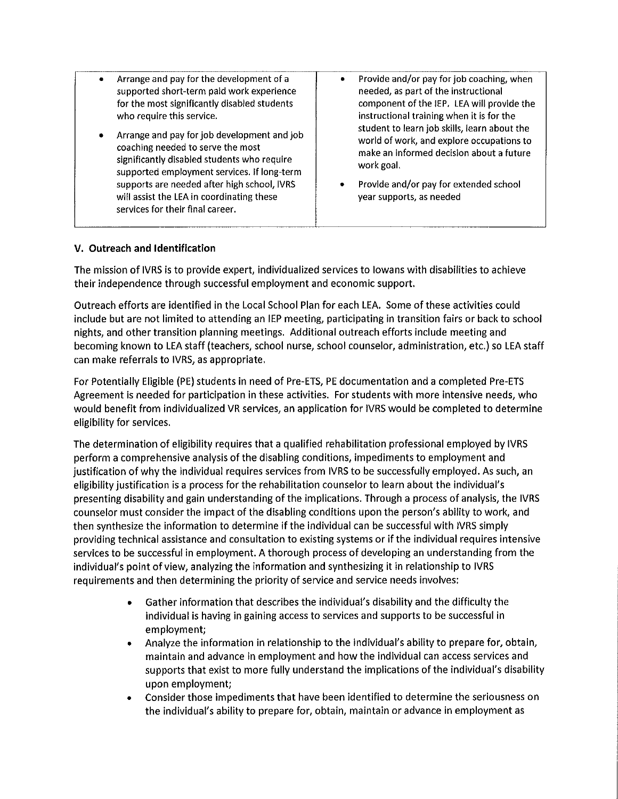- Arrange and pay for the development of a supported short-term paid work experience for the most significantly disabled students who require this service.
- Arrange and pay for job development and job coaching needed to serve the most significantly disabled students who require supported employment services. If long-term supports are needed after high school, IVRS will assist the LEA in coordinating these services for their final career.
- Provide and/or pay for job coaching, when needed, as part of the instructional component of the IEP. LEA will provide the instructional training when it is for the student to learn job skills, learn about the world of work, and explore occupations to make an informed decision about a future work goal.
- Provide and/or pay for extended school year supports, as needed

## **V. Outreach and Identification**

The mission of IVRS is to provide expert, individualized services to Iowans with disabilities to achieve their independence through successful employment and economic support.

Outreach efforts are identified in the Local School Plan for each LEA. Some of these activities could include but are not limited to attending an IEP meeting, participating in transition fairs or back to school nights, and other transition planning meetings. Additional outreach efforts include meeting and becoming known to LEA staff (teachers, school nurse, school counselor, administration, etc.) so LEA staff can make referrals to IVRS, as appropriate.

For Potentially Eligible (PE) students in need of Pre-ETS, PE documentation and a completed Pre-ETS Agreement is needed for participation in these activities. For students with more intensive needs, who would benefit from individualized VR services, an application for IVRS would be completed to determine eligibility for services.

The determination of eligibility requires that a qualified rehabilitation professional employed by IVRS perform a comprehensive analysis of the disabling conditions, impediments to employment and justification of why the individual requires services from IVRS to be successfully employed. As such, an eligibility justification is a process for the rehabilitation counselor to learn about the individual's presenting disability and gain understanding of the implications. Through a process of analysis, the IVRS counselor must consider the impact of the disabling conditions upon the person's ability to work, and then synthesize the information to determine if the individual can be successful with IVRS simply providing technical assistance and consultation to existing systems or if the individual requires intensive services to be successful in employment. A thorough process of developing an understanding from the individual's point of view, analyzing the information and synthesizing it in relationship to IVRS requirements and then determining the priority of service and service needs involves:

- Gather information that describes the individual's disability and the difficulty the individual is having in gaining access to services and supports to be successful in employment;
- Analyze the information in relationship to the individual's ability to prepare for, obtain, maintain and advance in employment and how the individual can access services and supports that exist to more fully understand the implications of the individual's disability upon employment;
- Consider those impediments that have been identified to determine the seriousness on the individual's ability to prepare for, obtain, maintain or advance in employment as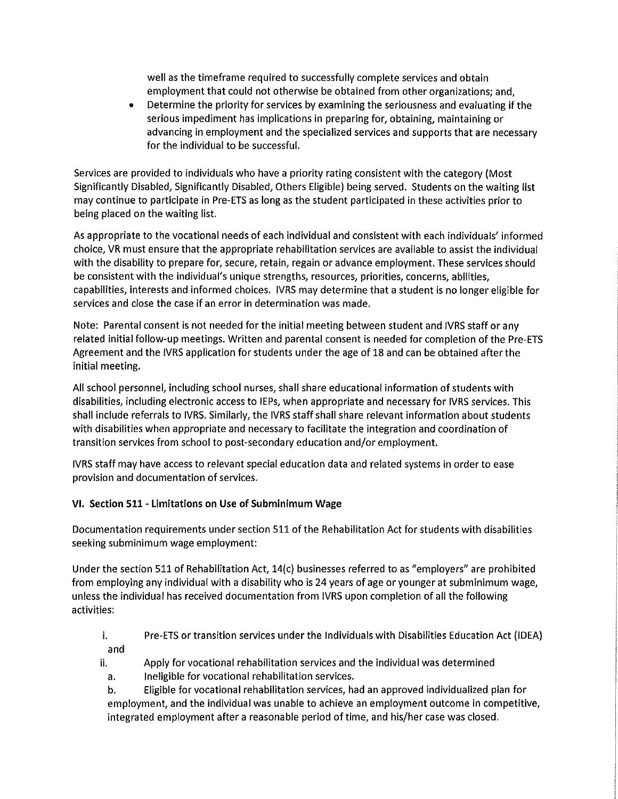well as the timeframe required to successfully complete services and obtain employment that could not otherwise be obtained from other organizations; and,

• Determine the priority for services by examining the seriousness and evaluating if the serious impediment has implications in preparing for, obtaining, maintaining or advancing in employment and the specialized services and supports that are necessary for the individual to be successful.

Services are provided to individuals who have a priority rating consistent with the category (Most Significantly Disabled, Significantly Disabled, Others Eligible) being served. Students on the waiting list may continue to participate in Pre-ETS as long as the student participated in these activities prior to being placed on the waiting list.

As appropriate to the vocational needs of each individual and consistent with each individuals' informed choice, VR must ensure that the appropriate rehabilitation services are available to assist the individual with the disability to prepare for, secure, retain, regain or advance employment. These services should be consistent with the individual's unique strengths, resources, priorities, concerns, abilities, capabilities, interests and informed choices. IVRS may determine that a student is no longer eligible for services and close the case if an error in determination was made.

Note: Parental consent is not needed for the initial meeting between student and IVRS staff or any related initial follow-up meetings. Written and parental consent is needed for completion of the Pre-ETS Agreement and the IVRS application for students under the age of 18 and can be obtained after the initial meeting.

All school personnel, including school nurses, shall share educational information of students with disabilities, including electronic access to IEPs, when appropriate and necessary for IVRS services. This shall include referrals to IVRS. Similarly, the IVRS staff shall share relevant information about students with disabilities when appropriate and necessary to facilitate the integration and coordination of transition services from school to post-secondary education and/or employment.

IVRS staff may have access to relevant special education data and related systems in order to ease provision and documentation of services.

# **VI. Section 511 - limitations on Use of Subminimum Wage**

Documentation requirements under section 511 of the Rehabilitation Act for students with disabilities seeking subminimum wage employment:

Under the section 511 of Rehabilitation Act, 14(c) businesses referred to as "employers" are prohibited from employing any individual with a disability who is 24 years of age or younger at subminimum wage, unless the individual has received documentation from IVRS upon completion of all the following activities:

i. Pre-ETS or transition services under the Individuals with Disabilities Education Act (IDEA) and

- ii. Apply for vocational rehabilitation services and the individual was determined
- a. Ineligible for vocational rehabilitation services.

b. Eligible for vocational rehabilitation services, had an approved individualized plan for employment, and the individual was unable to achieve an employment outcome in competitive, integrated employment after a reasonable period of time, and his/her case was closed.